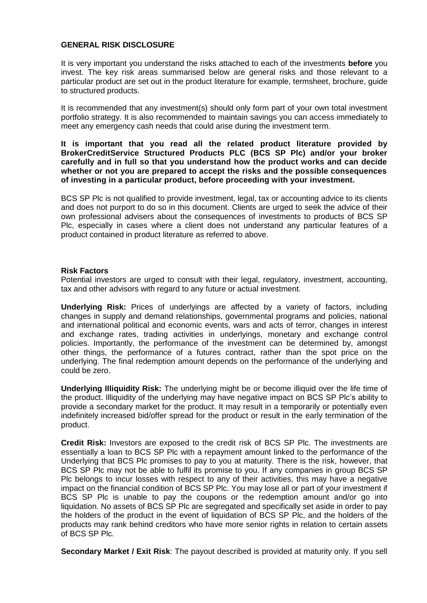## **GENERAL RISK DISCLOSURE**

It is very important you understand the risks attached to each of the investments **before** you invest. The key risk areas summarised below are general risks and those relevant to a particular product are set out in the product literature for example, termsheet, brochure, guide to structured products.

It is recommended that any investment(s) should only form part of your own total investment portfolio strategy. It is also recommended to maintain savings you can access immediately to meet any emergency cash needs that could arise during the investment term.

## **It is important that you read all the related product literature provided by BrokerCreditService Structured Products PLC (BCS SP Plc) and/or your broker carefully and in full so that you understand how the product works and can decide whether or not you are prepared to accept the risks and the possible consequences of investing in a particular product, before proceeding with your investment.**

BCS SP Plc is not qualified to provide investment, legal, tax or accounting advice to its clients and does not purport to do so in this document. Clients are urged to seek the advice of their own professional advisers about the consequences of investments to products of BCS SP Plc, especially in cases where a client does not understand any particular features of a product contained in product literature as referred to above.

## **Risk Factors**

Potential investors are urged to consult with their legal, regulatory, investment, accounting, tax and other advisors with regard to any future or actual investment.

**Underlying Risk:** Prices of underlyings are affected by a variety of factors, including changes in supply and demand relationships, governmental programs and policies, national and international political and economic events, wars and acts of terror, changes in interest and exchange rates, trading activities in underlyings, monetary and exchange control policies. Importantly, the performance of the investment can be determined by, amongst other things, the performance of a futures contract, rather than the spot price on the underlying. The final redemption amount depends on the performance of the underlying and could be zero.

**Underlying Illiquidity Risk:** The underlying might be or become illiquid over the life time of the product. Illiquidity of the underlying may have negative impact on BCS SP Plc's ability to provide a secondary market for the product. It may result in a temporarily or potentially even indefinitely increased bid/offer spread for the product or result in the early termination of the product.

**Credit Risk:** Investors are exposed to the credit risk of BCS SP Plc. The investments are essentially a loan to BCS SP Plc with a repayment amount linked to the performance of the Underlying that BCS Plc promises to pay to you at maturity. There is the risk, however, that BCS SP Plc may not be able to fulfil its promise to you. If any companies in group BCS SP Plc belongs to incur losses with respect to any of their activities, this may have a negative impact on the financial condition of BCS SP Plc. You may lose all or part of your investment if BCS SP Plc is unable to pay the coupons or the redemption amount and/or go into liquidation. No assets of BCS SP Plc are segregated and specifically set aside in order to pay the holders of the product in the event of liquidation of BCS SP Plc, and the holders of the products may rank behind creditors who have more senior rights in relation to certain assets of BCS SP Plc.

**Secondary Market / Exit Risk**: The payout described is provided at maturity only. If you sell